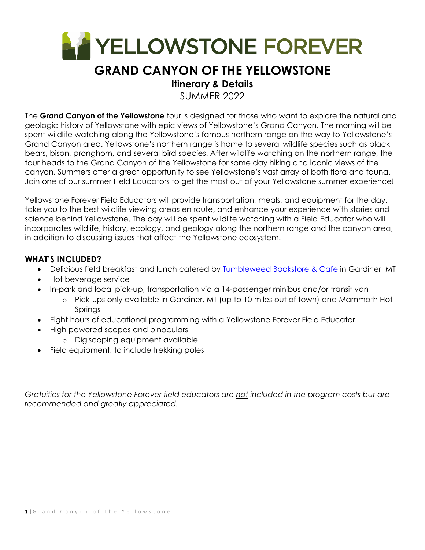

# **GRAND CANYON OF THE YELLOWSTONE**

### **Itinerary & Details**

SUMMER 2022

The **Grand Canyon of the Yellowstone** tour is designed for those who want to explore the natural and geologic history of Yellowstone with epic views of Yellowstone's Grand Canyon. The morning will be spent wildlife watching along the Yellowstone's famous northern range on the way to Yellowstone's Grand Canyon area. Yellowstone's northern range is home to several wildlife species such as black bears, bison, pronghorn, and several bird species. After wildlife watching on the northern range, the tour heads to the Grand Canyon of the Yellowstone for some day hiking and iconic views of the canyon. Summers offer a great opportunity to see Yellowstone's vast array of both flora and fauna. Join one of our summer Field Educators to get the most out of your Yellowstone summer experience!

Yellowstone Forever Field Educators will provide transportation, meals, and equipment for the day, take you to the best wildlife viewing areas en route, and enhance your experience with stories and science behind Yellowstone. The day will be spent wildlife watching with a Field Educator who will incorporates wildlife, history, ecology, and geology along the northern range and the canyon area, in addition to discussing issues that affect the Yellowstone ecosystem.

#### **WHAT'S INCLUDED?**

- Delicious field breakfast and lunch catered by Tumbleweed Bookstore & Cafe in Gardiner, MT
- Hot beverage service
- In-park and local pick-up, transportation via a 14-passenger minibus and/or transit van
	- o Pick-ups only available in Gardiner, MT (up to 10 miles out of town) and Mammoth Hot Springs
- Eight hours of educational programming with a Yellowstone Forever Field Educator
- High powered scopes and binoculars
	- o Digiscoping equipment available
- Field equipment, to include trekking poles

*Gratuities for the Yellowstone Forever field educators are not included in the program costs but are recommended and greatly appreciated.*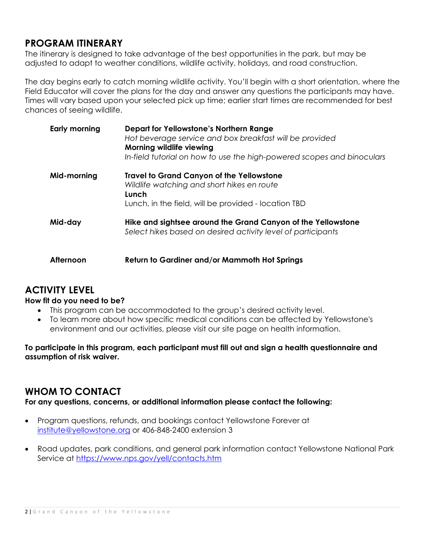### **PROGRAM ITINERARY**

The itinerary is designed to take advantage of the best opportunities in the park, but may be adjusted to adapt to weather conditions, wildlife activity, holidays, and road construction.

The day begins early to catch morning wildlife activity. You'll begin with a short orientation, where the Field Educator will cover the plans for the day and answer any questions the participants may have. Times will vary based upon your selected pick up time; earlier start times are recommended for best chances of seeing wildlife.

| Early morning | <b>Depart for Yellowstone's Northern Range</b><br>Hot beverage service and box breakfast will be provided<br>Morning wildlife viewing<br>In-field tutorial on how to use the high-powered scopes and binoculars |
|---------------|-----------------------------------------------------------------------------------------------------------------------------------------------------------------------------------------------------------------|
| Mid-morning   | <b>Travel to Grand Canyon of the Yellowstone</b><br>Wildlife watching and short hikes en route<br>Lunch<br>Lunch, in the field, will be provided - location TBD                                                 |
| Mid-day       | Hike and sightsee around the Grand Canyon of the Yellowstone<br>Select hikes based on desired activity level of participants                                                                                    |
| Afternoon     | Return to Gardiner and/or Mammoth Hot Springs                                                                                                                                                                   |

### **ACTIVITY LEVEL**

#### **How fit do you need to be?**

- This program can be accommodated to the group's desired activity level.
- To learn more about how specific medical conditions can be affected by Yellowstone's environment and our activities, please visit our site page on health information.

**To participate in this program, each participant must fill out and sign a health questionnaire and assumption of risk waiver.** 

### **WHOM TO CONTACT**

**For any questions, concerns, or additional information please contact the following:** 

- Program questions, refunds, and bookings contact Yellowstone Forever at institute@yellowstone.org or 406-848-2400 extension 3
- Road updates, park conditions, and general park information contact Yellowstone National Park Service at https://www.nps.gov/yell/contacts.htm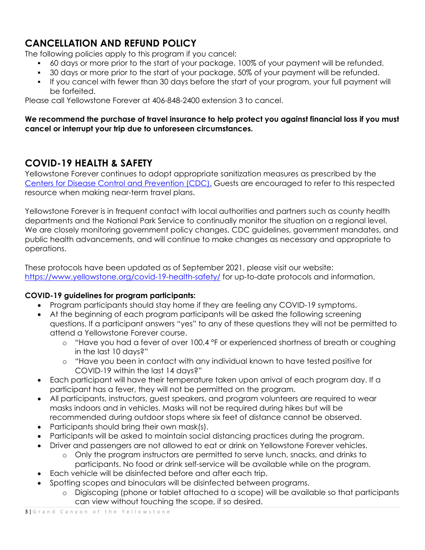## **CANCELLATION AND REFUND POLICY**

The following policies apply to this program if you cancel:

- 60 days or more prior to the start of your package, 100% of your payment will be refunded.
- 30 days or more prior to the start of your package, 50% of your payment will be refunded.
- If you cancel with fewer than 30 days before the start of your program, your full payment will be forfeited.

Please call Yellowstone Forever at 406-848-2400 extension 3 to cancel.

#### **We recommend the purchase of travel insurance to help protect you against financial loss if you must cancel or interrupt your trip due to unforeseen circumstances.**

### **COVID-19 HEALTH & SAFETY**

Yellowstone Forever continues to adopt appropriate sanitization measures as prescribed by the Centers for Disease Control and Prevention (CDC). Guests are encouraged to refer to this respected resource when making near-term travel plans.

Yellowstone Forever is in frequent contact with local authorities and partners such as county health departments and the National Park Service to continually monitor the situation on a regional level. We are closely monitoring government policy changes, CDC guidelines, government mandates, and public health advancements, and will continue to make changes as necessary and appropriate to operations.

These protocols have been updated as of September 2021, please visit our website: https://www.yellowstone.org/covid-19-health-safety/ for up-to-date protocols and information.

#### **COVID-19 guidelines for program participants:**

- Program participants should stay home if they are feeling any COVID-19 symptoms.
- At the beginning of each program participants will be asked the following screening questions. If a participant answers "yes" to any of these questions they will not be permitted to attend a Yellowstone Forever course.
	- $\circ$  "Have you had a fever of over 100.4  $\degree$ F or experienced shortness of breath or coughing in the last 10 days?"
	- o "Have you been in contact with any individual known to have tested positive for COVID-19 within the last 14 days?"
- Each participant will have their temperature taken upon arrival of each program day. If a participant has a fever, they will not be permitted on the program.
- All participants, instructors, guest speakers, and program volunteers are required to wear masks indoors and in vehicles. Masks will not be required during hikes but will be recommended during outdoor stops where six feet of distance cannot be observed.
- Participants should bring their own mask(s).
- Participants will be asked to maintain social distancing practices during the program.
	- Driver and passengers are not allowed to eat or drink on Yellowstone Forever vehicles.
		- o Only the program instructors are permitted to serve lunch, snacks, and drinks to participants. No food or drink self-service will be available while on the program.
- Each vehicle will be disinfected before and after each trip.
- Spotting scopes and binoculars will be disinfected between programs.
	- o Digiscoping (phone or tablet attached to a scope) will be available so that participants can view without touching the scope, if so desired.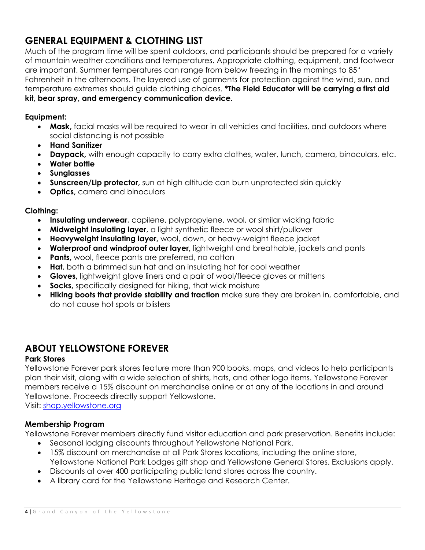## **GENERAL EQUIPMENT & CLOTHING LIST**

Much of the program time will be spent outdoors, and participants should be prepared for a variety of mountain weather conditions and temperatures. Appropriate clothing, equipment, and footwear are important. Summer temperatures can range from below freezing in the mornings to 85<sup>°</sup> Fahrenheit in the afternoons. The layered use of garments for protection against the wind, sun, and temperature extremes should guide clothing choices. **\*The Field Educator will be carrying a first aid kit, bear spray, and emergency communication device.**

#### **Equipment:**

- **Mask,** facial masks will be required to wear in all vehicles and facilities, and outdoors where social distancing is not possible
- **Hand Sanitizer**
- **Daypack,** with enough capacity to carry extra clothes, water, lunch, camera, binoculars, etc.
- **Water bottle**
- **Sunglasses**
- **Sunscreen/Lip protector,** sun at high altitude can burn unprotected skin quickly
- **Optics,** camera and binoculars

#### **Clothing:**

- **Insulating underwear**, capilene, polypropylene, wool, or similar wicking fabric
- **Midweight insulating layer**, a light synthetic fleece or wool shirt/pullover
- **Heavyweight insulating layer,** wool, down, or heavy-weight fleece jacket
- **Waterproof and windproof outer layer,** lightweight and breathable, jackets and pants
- **Pants,** wool, fleece pants are preferred, no cotton
- **Hat**, both a brimmed sun hat and an insulating hat for cool weather
- **Gloves,** lightweight glove liners and a pair of wool/fleece gloves or mittens
- **Socks,** specifically designed for hiking, that wick moisture
- **Hiking boots that provide stability and traction** make sure they are broken in, comfortable, and do not cause hot spots or blisters

### **ABOUT YELLOWSTONE FOREVER**

#### **Park Stores**

Yellowstone Forever park stores feature more than 900 books, maps, and videos to help participants plan their visit, along with a wide selection of shirts, hats, and other logo items. Yellowstone Forever members receive a 15% discount on merchandise online or at any of the locations in and around Yellowstone. Proceeds directly support Yellowstone.

Visit: shop.yellowstone.org

#### **Membership Program**

Yellowstone Forever members directly fund visitor education and park preservation. Benefits include:

- Seasonal lodging discounts throughout Yellowstone National Park.
- 15% discount on merchandise at all Park Stores locations, including the online store, Yellowstone National Park Lodges gift shop and Yellowstone General Stores. Exclusions apply.
- Discounts at over 400 participating public land stores across the country.
- A library card for the Yellowstone Heritage and Research Center.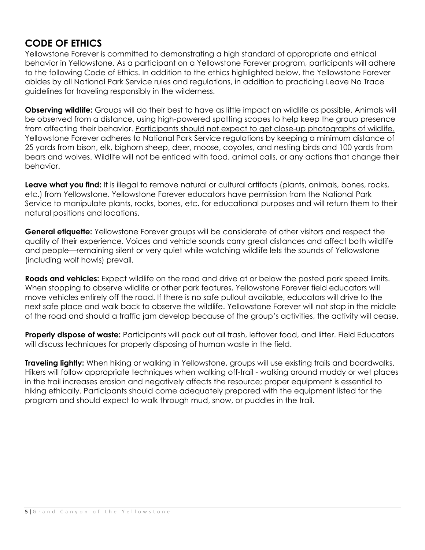### **CODE OF ETHICS**

Yellowstone Forever is committed to demonstrating a high standard of appropriate and ethical behavior in Yellowstone. As a participant on a Yellowstone Forever program, participants will adhere to the following Code of Ethics. In addition to the ethics highlighted below, the Yellowstone Forever abides by all National Park Service rules and regulations, in addition to practicing Leave No Trace guidelines for traveling responsibly in the wilderness.

**Observing wildlife:** Groups will do their best to have as little impact on wildlife as possible. Animals will be observed from a distance, using high-powered spotting scopes to help keep the group presence from affecting their behavior. Participants should not expect to get close-up photographs of wildlife. Yellowstone Forever adheres to National Park Service regulations by keeping a minimum distance of 25 yards from bison, elk, bighorn sheep, deer, moose, coyotes, and nesting birds and 100 yards from bears and wolves. Wildlife will not be enticed with food, animal calls, or any actions that change their behavior.

**Leave what you find:** It is illegal to remove natural or cultural artifacts (plants, animals, bones, rocks, etc.) from Yellowstone. Yellowstone Forever educators have permission from the National Park Service to manipulate plants, rocks, bones, etc. for educational purposes and will return them to their natural positions and locations.

**General etiquette:** Yellowstone Forever groups will be considerate of other visitors and respect the quality of their experience. Voices and vehicle sounds carry great distances and affect both wildlife and people—remaining silent or very quiet while watching wildlife lets the sounds of Yellowstone (including wolf howls) prevail.

**Roads and vehicles:** Expect wildlife on the road and drive at or below the posted park speed limits. When stopping to observe wildlife or other park features, Yellowstone Forever field educators will move vehicles entirely off the road. If there is no safe pullout available, educators will drive to the next safe place and walk back to observe the wildlife. Yellowstone Forever will not stop in the middle of the road and should a traffic jam develop because of the group's activities, the activity will cease.

**Properly dispose of waste:** Participants will pack out all trash, leftover food, and litter. Field Educators will discuss techniques for properly disposing of human waste in the field.

**Traveling lightly:** When hiking or walking in Yellowstone, groups will use existing trails and boardwalks. Hikers will follow appropriate techniques when walking off-trail - walking around muddy or wet places in the trail increases erosion and negatively affects the resource; proper equipment is essential to hiking ethically. Participants should come adequately prepared with the equipment listed for the program and should expect to walk through mud, snow, or puddles in the trail.